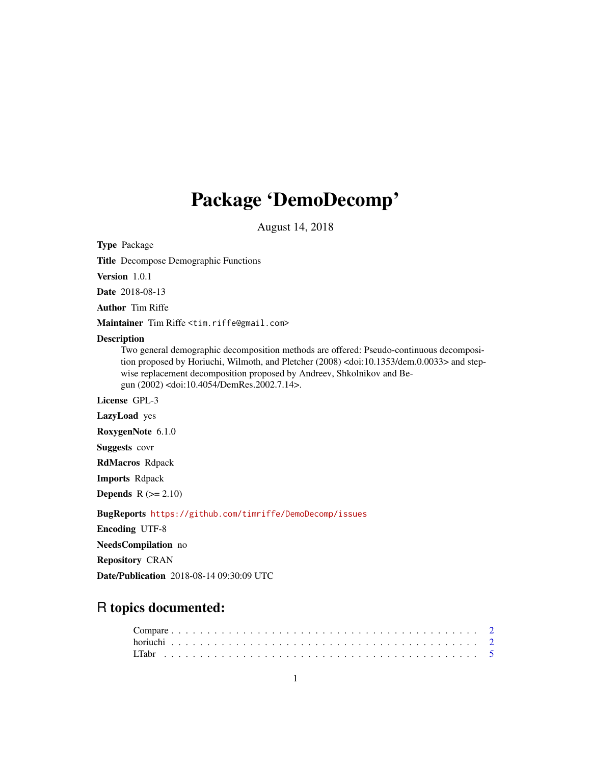## Package 'DemoDecomp'

August 14, 2018

Type Package

Title Decompose Demographic Functions

Version 1.0.1

Date 2018-08-13

Author Tim Riffe

Maintainer Tim Riffe <tim.riffe@gmail.com>

#### **Description**

Two general demographic decomposition methods are offered: Pseudo-continuous decomposition proposed by Horiuchi, Wilmoth, and Pletcher (2008) <doi:10.1353/dem.0.0033> and stepwise replacement decomposition proposed by Andreev, Shkolnikov and Begun (2002) <doi:10.4054/DemRes.2002.7.14>.

License GPL-3

LazyLoad yes

RoxygenNote 6.1.0

Suggests covr

RdMacros Rdpack

Imports Rdpack

**Depends**  $R$  ( $>= 2.10$ )

BugReports <https://github.com/timriffe/DemoDecomp/issues>

Encoding UTF-8

NeedsCompilation no

Repository CRAN

Date/Publication 2018-08-14 09:30:09 UTC

## R topics documented: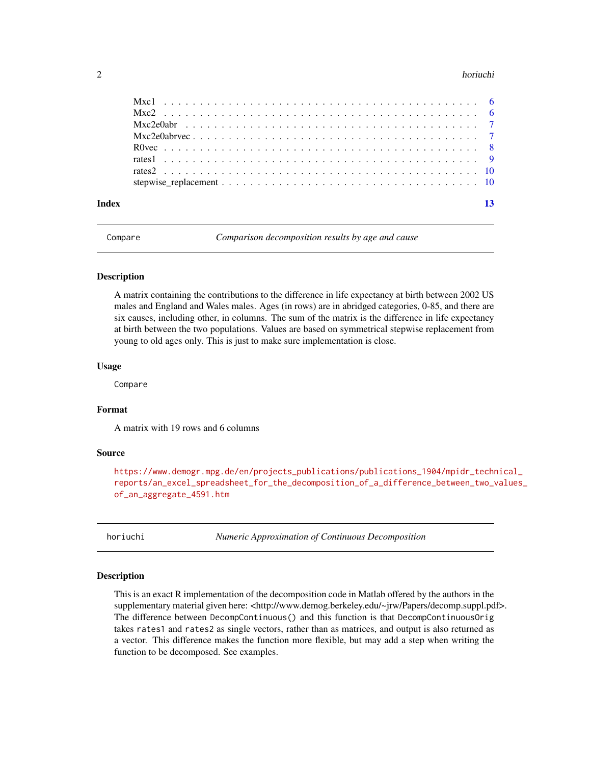#### <span id="page-1-0"></span> $2 \t\t horiuchi$

Compare *Comparison decomposition results by age and cause*

#### Description

A matrix containing the contributions to the difference in life expectancy at birth between 2002 US males and England and Wales males. Ages (in rows) are in abridged categories, 0-85, and there are six causes, including other, in columns. The sum of the matrix is the difference in life expectancy at birth between the two populations. Values are based on symmetrical stepwise replacement from young to old ages only. This is just to make sure implementation is close.

#### Usage

Compare

#### Format

A matrix with 19 rows and 6 columns

#### Source

```
https://www.demogr.mpg.de/en/projects_publications/publications_1904/mpidr_technical_
reports/an_excel_spreadsheet_for_the_decomposition_of_a_difference_between_two_values_
of_an_aggregate_4591.htm
```
horiuchi *Numeric Approximation of Continuous Decomposition*

#### Description

This is an exact R implementation of the decomposition code in Matlab offered by the authors in the supplementary material given here: <http://www.demog.berkeley.edu/~jrw/Papers/decomp.suppl.pdf>. The difference between DecompContinuous() and this function is that DecompContinuousOrig takes rates1 and rates2 as single vectors, rather than as matrices, and output is also returned as a vector. This difference makes the function more flexible, but may add a step when writing the function to be decomposed. See examples.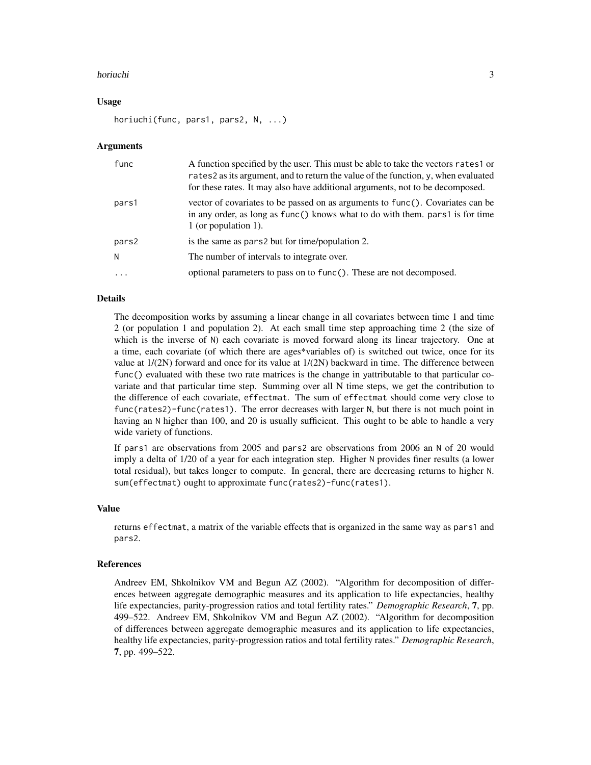#### horiuchi 30 ann ann an t-Iomraid ann an t-Iomraid ann an t-Iomraid ann an t-Iomraid ann an t-Iomraid ann an t-

#### Usage

horiuchi(func, pars1, pars2, N, ...)

#### Arguments

| func      | A function specified by the user. This must be able to take the vectors rates 1 or<br>rates2 as its argument, and to return the value of the function, y, when evaluated<br>for these rates. It may also have additional arguments, not to be decomposed. |
|-----------|-----------------------------------------------------------------------------------------------------------------------------------------------------------------------------------------------------------------------------------------------------------|
| pars1     | vector of covariates to be passed on as arguments to func(). Covariates can be<br>in any order, as long as func() knows what to do with them. pars1 is for time<br>1 (or population 1).                                                                   |
| pars2     | is the same as pars2 but for time/population 2.                                                                                                                                                                                                           |
| N         | The number of intervals to integrate over.                                                                                                                                                                                                                |
| $\ddotsc$ | optional parameters to pass on to func(). These are not decomposed.                                                                                                                                                                                       |

#### Details

The decomposition works by assuming a linear change in all covariates between time 1 and time 2 (or population 1 and population 2). At each small time step approaching time 2 (the size of which is the inverse of N) each covariate is moved forward along its linear trajectory. One at a time, each covariate (of which there are ages\*variables of) is switched out twice, once for its value at  $1/(2N)$  forward and once for its value at  $1/(2N)$  backward in time. The difference between func() evaluated with these two rate matrices is the change in yattributable to that particular covariate and that particular time step. Summing over all N time steps, we get the contribution to the difference of each covariate, effectmat. The sum of effectmat should come very close to func(rates2)-func(rates1). The error decreases with larger N, but there is not much point in having an N higher than 100, and 20 is usually sufficient. This ought to be able to handle a very wide variety of functions.

If pars1 are observations from 2005 and pars2 are observations from 2006 an N of 20 would imply a delta of 1/20 of a year for each integration step. Higher N provides finer results (a lower total residual), but takes longer to compute. In general, there are decreasing returns to higher N. sum(effectmat) ought to approximate func(rates2)-func(rates1).

#### Value

returns effectmat, a matrix of the variable effects that is organized in the same way as pars1 and pars2.

#### References

Andreev EM, Shkolnikov VM and Begun AZ (2002). "Algorithm for decomposition of differences between aggregate demographic measures and its application to life expectancies, healthy life expectancies, parity-progression ratios and total fertility rates." *Demographic Research*, 7, pp. 499–522. Andreev EM, Shkolnikov VM and Begun AZ (2002). "Algorithm for decomposition of differences between aggregate demographic measures and its application to life expectancies, healthy life expectancies, parity-progression ratios and total fertility rates." *Demographic Research*, 7, pp. 499–522.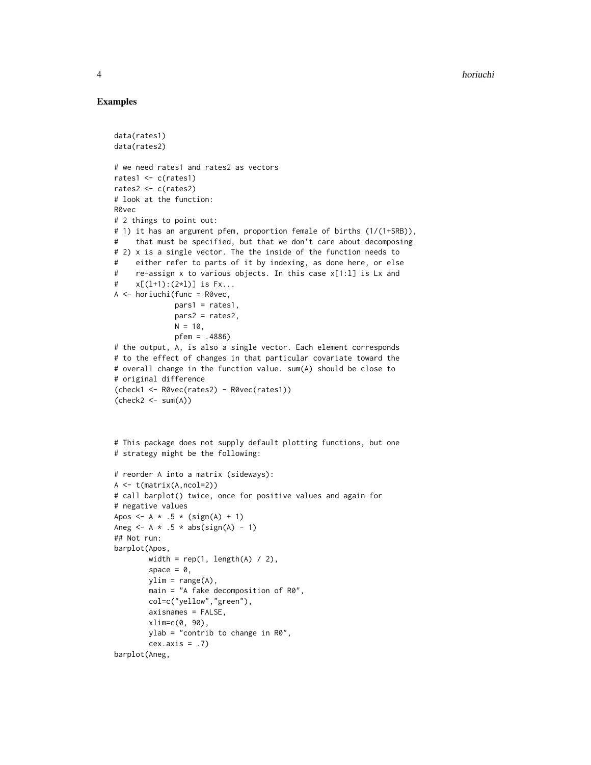#### Examples

```
data(rates1)
data(rates2)
# we need rates1 and rates2 as vectors
rates1 <- c(rates1)
rates2 <- c(rates2)
# look at the function:
R0vec
# 2 things to point out:
# 1) it has an argument pfem, proportion female of births (1/(1+SRB)),
# that must be specified, but that we don't care about decomposing
# 2) x is a single vector. The the inside of the function needs to
# either refer to parts of it by indexing, as done here, or else
# re-assign x to various objects. In this case x[1:l] is Lx and
# x[(l+1):(2*l)] is Fx...
A <- horiuchi(func = R0vec,
              pars1 = rates1,
              pars2 = rates2,
              N = 10,
              pfem = .4886)
# the output, A, is also a single vector. Each element corresponds
# to the effect of changes in that particular covariate toward the
# overall change in the function value. sum(A) should be close to
# original difference
(check1 <- R0vec(rates2) - R0vec(rates1))
(\text{check2} < -\text{sum}(A))# This package does not supply default plotting functions, but one
# strategy might be the following:
# reorder A into a matrix (sideways):
A <- t(matrix(A,ncol=2))
# call barplot() twice, once for positive values and again for
# negative values
Apos <- A * .5 * (sign(A) + 1)
Aneg \leq - A \star .5 \star abs(sign(A) - 1)
## Not run:
barplot(Apos,
        width = rep(1, length(A) / 2),
        space = \theta,
        ylim = range(A),
        main = "A fake decomposition of R0",
        col=c("yellow","green"),
        axisnames = FALSE,
        xlim=c(0, 90),
        ylab = "contrib to change in R0",
        cex. axis = .7)
```

```
barplot(Aneg,
```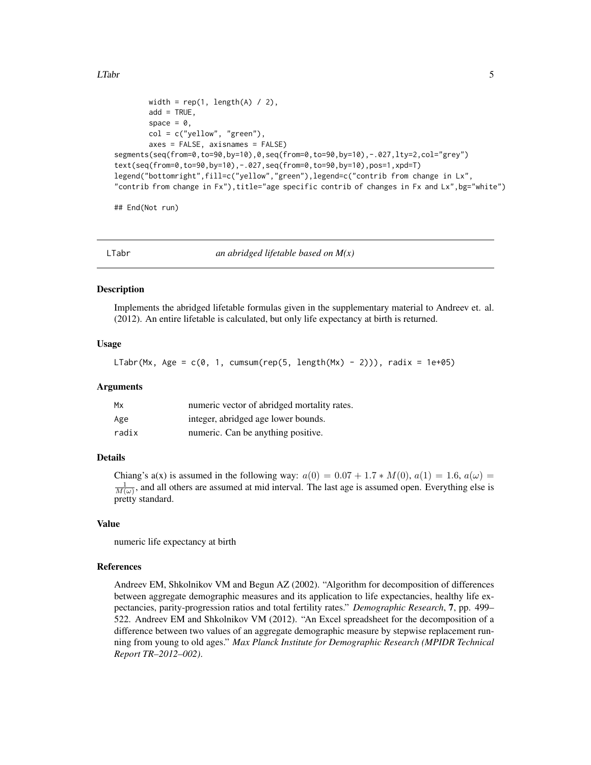#### <span id="page-4-0"></span>LTabr 5

```
width = rep(1, length(A) / 2),
        add = TRUE,space = \theta,
       col = c("yellow", "green"),axes = FALSE, axisnames = FALSE)
segments(seq(from=0,to=90,by=10),0,seq(from=0,to=90,by=10),-.027,lty=2,col="grey")
text(seq(from=0,to=90,by=10),-.027,seq(from=0,to=90,by=10),pos=1,xpd=T)
legend("bottomright",fill=c("yellow","green"),legend=c("contrib from change in Lx",
"contrib from change in Fx"),title="age specific contrib of changes in Fx and Lx", bg="white")
```
## End(Not run)

LTabr *an abridged lifetable based on M(x)*

#### Description

Implements the abridged lifetable formulas given in the supplementary material to Andreev et. al. (2012). An entire lifetable is calculated, but only life expectancy at birth is returned.

#### Usage

LTabr(Mx, Age =  $c(0, 1, \text{cum}(rep(5, length(Mx) - 2)))$ , radix = 1e+05)

#### Arguments

| Mx    | numeric vector of abridged mortality rates. |
|-------|---------------------------------------------|
| Age   | integer, abridged age lower bounds.         |
| radix | numeric. Can be anything positive.          |

#### Details

Chiang's a(x) is assumed in the following way:  $a(0) = 0.07 + 1.7 * M(0), a(1) = 1.6, a(\omega) =$  $\frac{1}{M(\omega)}$ , and all others are assumed at mid interval. The last age is assumed open. Everything else is pretty standard.

#### Value

numeric life expectancy at birth

#### References

Andreev EM, Shkolnikov VM and Begun AZ (2002). "Algorithm for decomposition of differences between aggregate demographic measures and its application to life expectancies, healthy life expectancies, parity-progression ratios and total fertility rates." *Demographic Research*, 7, pp. 499– 522. Andreev EM and Shkolnikov VM (2012). "An Excel spreadsheet for the decomposition of a difference between two values of an aggregate demographic measure by stepwise replacement running from young to old ages." *Max Planck Institute for Demographic Research (MPIDR Technical Report TR–2012–002)*.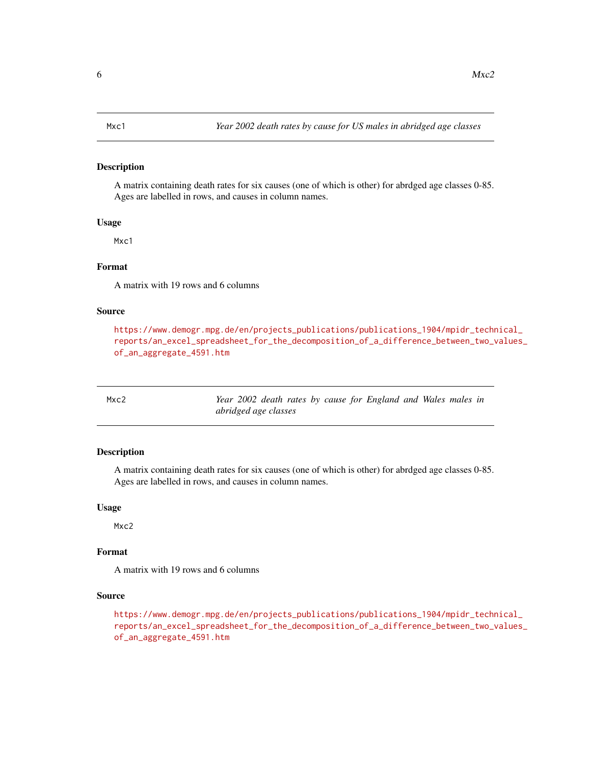#### <span id="page-5-0"></span>Description

A matrix containing death rates for six causes (one of which is other) for abrdged age classes 0-85. Ages are labelled in rows, and causes in column names.

#### Usage

M<sub>xc1</sub>

#### Format

A matrix with 19 rows and 6 columns

#### Source

[https://www.demogr.mpg.de/en/projects\\_publications/publications\\_1904/mpidr\\_techn](https://www.demogr.mpg.de/en/projects_publications/publications_1904/mpidr_technical_reports/an_excel_spreadsheet_for_the_decomposition_of_a_difference_between_two_values_of_an_aggregate_4591.htm)ical\_ [reports/an\\_excel\\_spreadsheet\\_for\\_the\\_decomposition\\_of\\_a\\_difference\\_between\\_two\\_v](https://www.demogr.mpg.de/en/projects_publications/publications_1904/mpidr_technical_reports/an_excel_spreadsheet_for_the_decomposition_of_a_difference_between_two_values_of_an_aggregate_4591.htm)alues\_ [of\\_an\\_aggregate\\_4591.htm](https://www.demogr.mpg.de/en/projects_publications/publications_1904/mpidr_technical_reports/an_excel_spreadsheet_for_the_decomposition_of_a_difference_between_two_values_of_an_aggregate_4591.htm)

| Mxc2 |  |                      |  |  | Year 2002 death rates by cause for England and Wales males in |  |  |
|------|--|----------------------|--|--|---------------------------------------------------------------|--|--|
|      |  | abridged age classes |  |  |                                                               |  |  |

#### Description

A matrix containing death rates for six causes (one of which is other) for abrdged age classes 0-85. Ages are labelled in rows, and causes in column names.

#### Usage

Mxc2

#### Format

A matrix with 19 rows and 6 columns

#### Source

[https://www.demogr.mpg.de/en/projects\\_publications/publications\\_1904/mpidr\\_techn](https://www.demogr.mpg.de/en/projects_publications/publications_1904/mpidr_technical_reports/an_excel_spreadsheet_for_the_decomposition_of_a_difference_between_two_values_of_an_aggregate_4591.htm)ical\_ [reports/an\\_excel\\_spreadsheet\\_for\\_the\\_decomposition\\_of\\_a\\_difference\\_between\\_two\\_v](https://www.demogr.mpg.de/en/projects_publications/publications_1904/mpidr_technical_reports/an_excel_spreadsheet_for_the_decomposition_of_a_difference_between_two_values_of_an_aggregate_4591.htm)alues\_ [of\\_an\\_aggregate\\_4591.htm](https://www.demogr.mpg.de/en/projects_publications/publications_1904/mpidr_technical_reports/an_excel_spreadsheet_for_the_decomposition_of_a_difference_between_two_values_of_an_aggregate_4591.htm)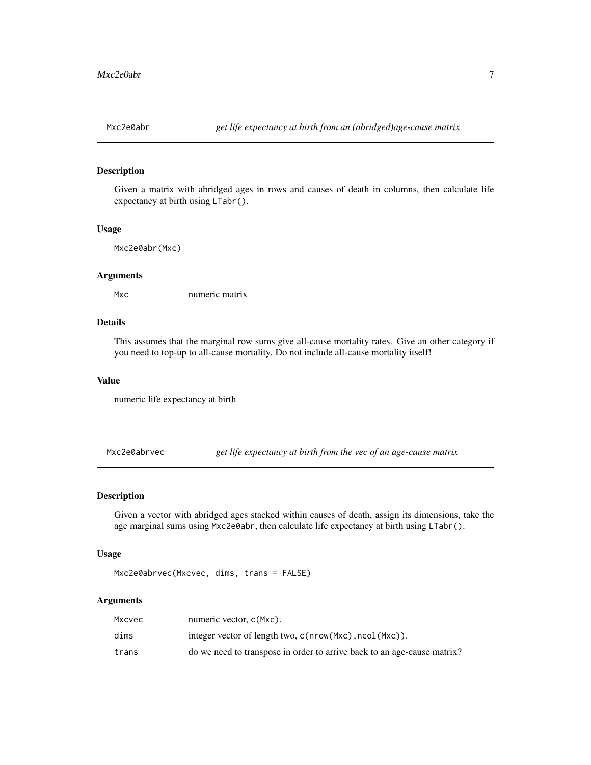<span id="page-6-0"></span>

#### Description

Given a matrix with abridged ages in rows and causes of death in columns, then calculate life expectancy at birth using LTabr().

#### Usage

Mxc2e0abr(Mxc)

#### Arguments

Mxc numeric matrix

#### Details

This assumes that the marginal row sums give all-cause mortality rates. Give an other category if you need to top-up to all-cause mortality. Do not include all-cause mortality itself!

#### Value

numeric life expectancy at birth

Mxc2e0abrvec *get life expectancy at birth from the vec of an age-cause matrix*

#### Description

Given a vector with abridged ages stacked within causes of death, assign its dimensions, take the age marginal sums using Mxc2e0abr, then calculate life expectancy at birth using LTabr().

#### Usage

```
Mxc2e0abrvec(Mxcvec, dims, trans = FALSE)
```
#### Arguments

| Mxcvec | numeric vector, c(Mxc).                                                 |
|--------|-------------------------------------------------------------------------|
| dims   | integer vector of length two, $c$ (nrow(Mxc), $ncol(Mxc)$ ).            |
| trans  | do we need to transpose in order to arrive back to an age-cause matrix? |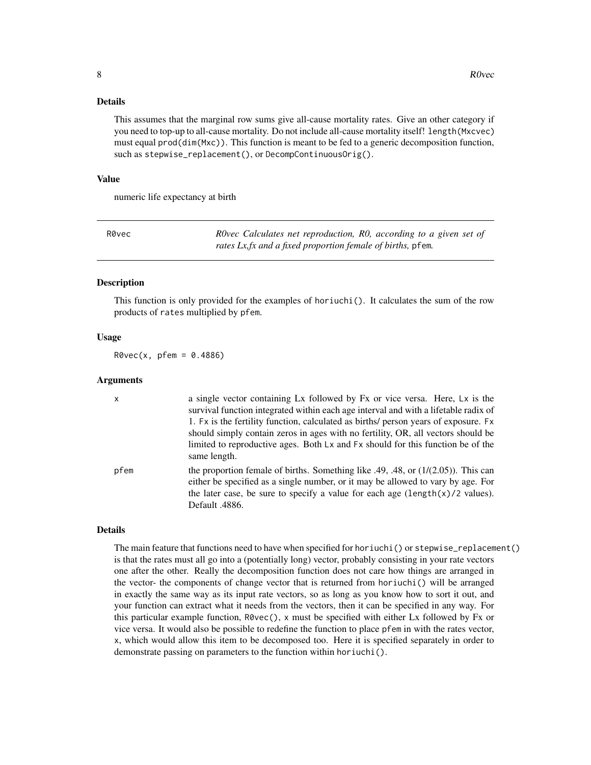#### <span id="page-7-0"></span>Details

This assumes that the marginal row sums give all-cause mortality rates. Give an other category if you need to top-up to all-cause mortality. Do not include all-cause mortality itself! length(Mxcvec) must equal prod(dim(Mxc)). This function is meant to be fed to a generic decomposition function, such as stepwise\_replacement(), or DecompContinuousOrig().

#### Value

numeric life expectancy at birth

R0vec *R0vec Calculates net reproduction, R0, according to a given set of rates Lx,fx and a fixed proportion female of births,* pfem*.*

#### Description

This function is only provided for the examples of horiuchi(). It calculates the sum of the row products of rates multiplied by pfem.

#### Usage

 $R0vec(x, pfem = 0.4886)$ 

#### Arguments

| $\mathsf{x}$ | a single vector containing Lx followed by Fx or vice versa. Here, Lx is the<br>survival function integrated within each age interval and with a lifetable radix of<br>1. Ex is the fertility function, calculated as births/ person years of exposure. Ex<br>should simply contain zeros in ages with no fertility, OR, all vectors should be<br>limited to reproductive ages. Both Lx and Fx should for this function be of the<br>same length. |
|--------------|--------------------------------------------------------------------------------------------------------------------------------------------------------------------------------------------------------------------------------------------------------------------------------------------------------------------------------------------------------------------------------------------------------------------------------------------------|
| pfem         | the proportion female of births. Something like .49, .48, or $(1/(2.05))$ . This can<br>either be specified as a single number, or it may be allowed to vary by age. For<br>the later case, be sure to specify a value for each age $(length(x)/2$ values).<br>Default .4886.                                                                                                                                                                    |

#### Details

The main feature that functions need to have when specified for horiuchi() or stepwise\_replacement() is that the rates must all go into a (potentially long) vector, probably consisting in your rate vectors one after the other. Really the decomposition function does not care how things are arranged in the vector- the components of change vector that is returned from horiuchi() will be arranged in exactly the same way as its input rate vectors, so as long as you know how to sort it out, and your function can extract what it needs from the vectors, then it can be specified in any way. For this particular example function, R0vec(), x must be specified with either Lx followed by Fx or vice versa. It would also be possible to redefine the function to place pfem in with the rates vector, x, which would allow this item to be decomposed too. Here it is specified separately in order to demonstrate passing on parameters to the function within horiuchi().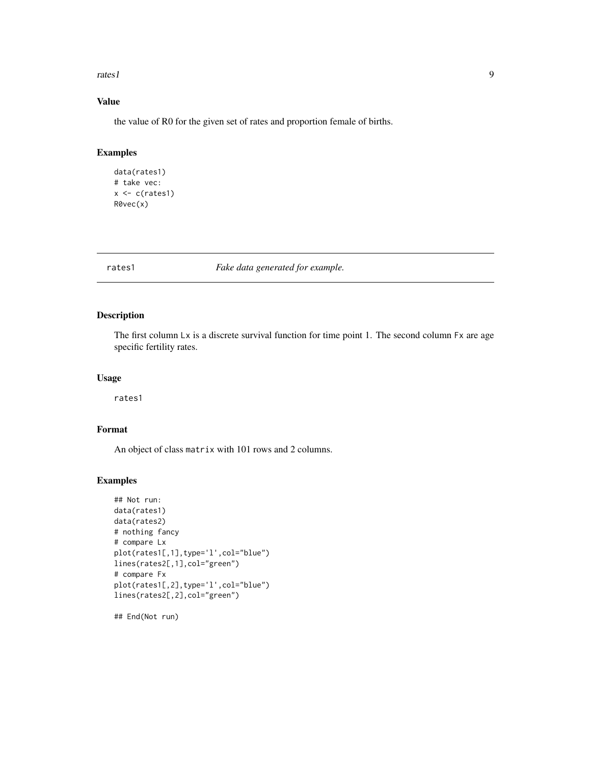<span id="page-8-0"></span>rates1 9

### Value

the value of R0 for the given set of rates and proportion female of births.

#### Examples

```
data(rates1)
# take vec:
x \leftarrow c(rates1)R0vec(x)
```
rates1 *Fake data generated for example.*

#### Description

The first column Lx is a discrete survival function for time point 1. The second column Fx are age specific fertility rates.

#### Usage

rates1

#### Format

An object of class matrix with 101 rows and 2 columns.

#### Examples

```
## Not run:
data(rates1)
data(rates2)
# nothing fancy
# compare Lx
plot(rates1[,1],type='l',col="blue")
lines(rates2[,1],col="green")
# compare Fx
plot(rates1[,2],type='l',col="blue")
lines(rates2[,2],col="green")
```
## End(Not run)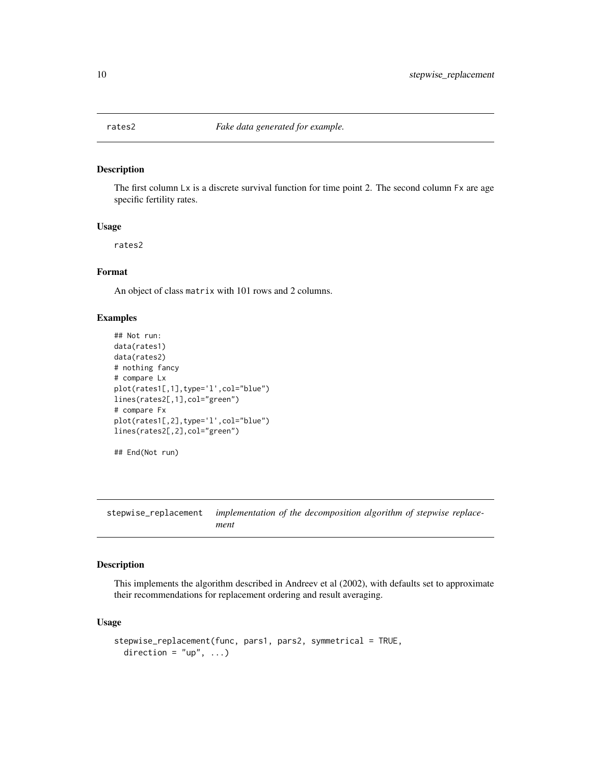<span id="page-9-0"></span>

#### Description

The first column Lx is a discrete survival function for time point 2. The second column Fx are age specific fertility rates.

#### Usage

rates2

#### Format

An object of class matrix with 101 rows and 2 columns.

#### Examples

```
## Not run:
data(rates1)
data(rates2)
# nothing fancy
# compare Lx
plot(rates1[,1],type='l',col="blue")
lines(rates2[,1],col="green")
# compare Fx
plot(rates1[,2],type='l',col="blue")
lines(rates2[,2],col="green")
## End(Not run)
```
stepwise\_replacement *implementation of the decomposition algorithm of stepwise replacement*

#### Description

This implements the algorithm described in Andreev et al (2002), with defaults set to approximate their recommendations for replacement ordering and result averaging.

#### Usage

```
stepwise_replacement(func, pars1, pars2, symmetrical = TRUE,
 direction = "up", ...)
```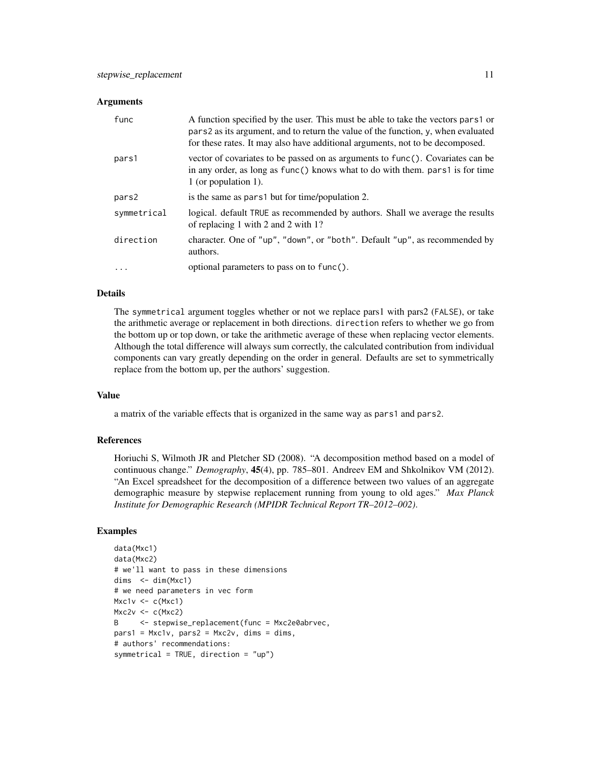#### **Arguments**

| func        | A function specified by the user. This must be able to take the vectors pars1 or<br>pars 2 as its argument, and to return the value of the function, y, when evaluated<br>for these rates. It may also have additional arguments, not to be decomposed. |
|-------------|---------------------------------------------------------------------------------------------------------------------------------------------------------------------------------------------------------------------------------------------------------|
| pars1       | vector of covariates to be passed on as arguments to func(). Covariates can be<br>in any order, as long as func() knows what to do with them. pars1 is for time<br>1 (or population 1).                                                                 |
| pars2       | is the same as pars 1 but for time/population 2.                                                                                                                                                                                                        |
| symmetrical | logical. default TRUE as recommended by authors. Shall we average the results<br>of replacing 1 with 2 and 2 with 1?                                                                                                                                    |
| direction   | character. One of "up", "down", or "both". Default "up", as recommended by<br>authors.                                                                                                                                                                  |
| $\ddotsc$   | optional parameters to pass on to func().                                                                                                                                                                                                               |

#### Details

The symmetrical argument toggles whether or not we replace pars1 with pars2 (FALSE), or take the arithmetic average or replacement in both directions. direction refers to whether we go from the bottom up or top down, or take the arithmetic average of these when replacing vector elements. Although the total difference will always sum correctly, the calculated contribution from individual components can vary greatly depending on the order in general. Defaults are set to symmetrically replace from the bottom up, per the authors' suggestion.

#### Value

a matrix of the variable effects that is organized in the same way as pars1 and pars2.

#### References

Horiuchi S, Wilmoth JR and Pletcher SD (2008). "A decomposition method based on a model of continuous change." *Demography*, 45(4), pp. 785–801. Andreev EM and Shkolnikov VM (2012). "An Excel spreadsheet for the decomposition of a difference between two values of an aggregate demographic measure by stepwise replacement running from young to old ages." *Max Planck Institute for Demographic Research (MPIDR Technical Report TR–2012–002)*.

#### Examples

```
data(Mxc1)
data(Mxc2)
# we'll want to pass in these dimensions
dims \le dim(Mxc1)
# we need parameters in vec form
Mxc1v \leftarrow c(Mxc1)Mxc2v \leftarrow c(Mxc2)B <- stepwise_replacement(func = Mxc2e0abrvec,
pars1 = Max1v, parse2 = Max2v, dims = dims,# authors' recommendations:
symmetrical = TRUE, direction = "up")
```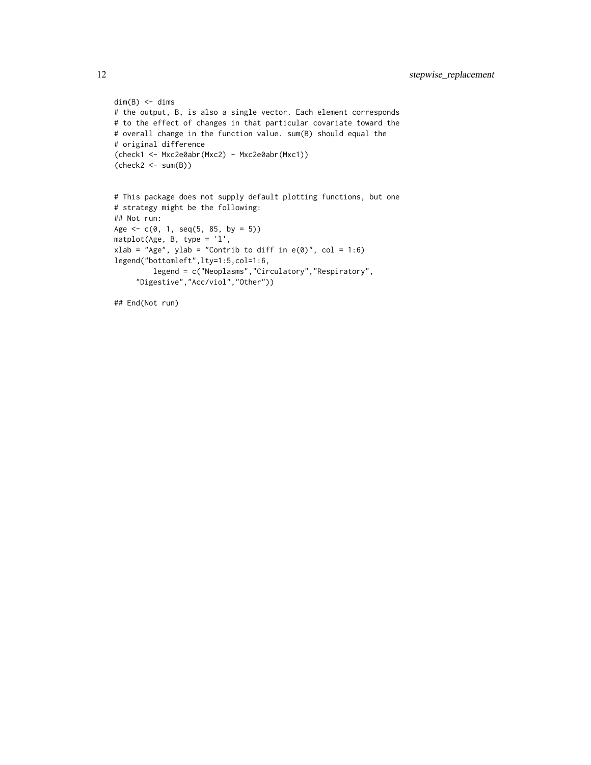```
dim(B) \leq -dim(s)# the output, B, is also a single vector. Each element corresponds
# to the effect of changes in that particular covariate toward the
# overall change in the function value. sum(B) should equal the
# original difference
(check1 <- Mxc2e0abr(Mxc2) - Mxc2e0abr(Mxc1))
(\text{check2} < -\text{sum}(B))# This package does not supply default plotting functions, but one
# strategy might be the following:
## Not run:
Age \leq c(0, 1, seq(5, 85, by = 5))
```

```
matplot(Age, B, type = 'l',
xlab = "Age", ylab = "Contrib to diff in e(\emptyset)", col = 1:6)
legend("bottomleft",lty=1:5,col=1:6,
         legend = c("Neoplasms","Circulatory","Respiratory",
     "Digestive","Acc/viol","Other"))
```
## End(Not run)